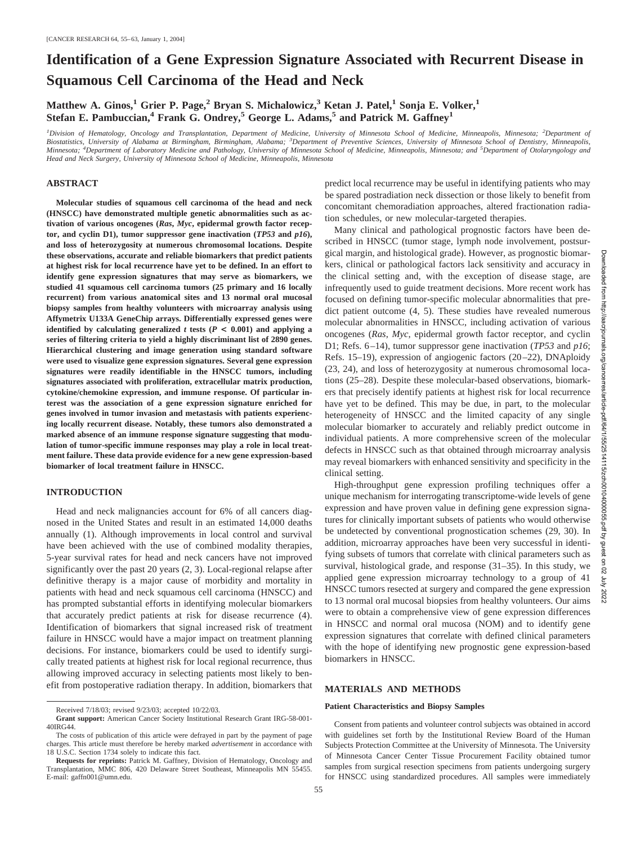# **Identification of a Gene Expression Signature Associated with Recurrent Disease in Squamous Cell Carcinoma of the Head and Neck**

**Matthew A. Ginos,**<sup>1</sup> **Grier P. Page,**<sup>2</sup> **Bryan S. Michalowicz,**<sup>3</sup> **Ketan J. Patel,**<sup>1</sup> **Sonja E. Volker,**<sup>1</sup> **Stefan E. Pambuccian,4 Frank G. Ondrey,5 George L. Adams,5 and Patrick M. Gaffney1**

*1 Division of Hematology, Oncology and Transplantation, Department of Medicine, University of Minnesota School of Medicine, Minneapolis, Minnesota; <sup>2</sup> Department of Biostatistics, University of Alabama at Birmingham, Birmingham, Alabama; <sup>3</sup> Department of Preventive Sciences, University of Minnesota School of Dentistry, Minneapolis, Minnesota; <sup>4</sup> Department of Laboratory Medicine and Pathology, University of Minnesota School of Medicine, Minneapolis, Minnesota; and <sup>5</sup> Department of Otolaryngology and Head and Neck Surgery, University of Minnesota School of Medicine, Minneapolis, Minnesota*

## **ABSTRACT**

**Molecular studies of squamous cell carcinoma of the head and neck (HNSCC) have demonstrated multiple genetic abnormalities such as activation of various oncogenes (***Ras***,** *Myc***, epidermal growth factor receptor, and cyclin D1), tumor suppressor gene inactivation (***TP53* **and** *p16***), and loss of heterozygosity at numerous chromosomal locations. Despite these observations, accurate and reliable biomarkers that predict patients at highest risk for local recurrence have yet to be defined. In an effort to identify gene expression signatures that may serve as biomarkers, we studied 41 squamous cell carcinoma tumors (25 primary and 16 locally recurrent) from various anatomical sites and 13 normal oral mucosal biopsy samples from healthy volunteers with microarray analysis using Affymetrix U133A GeneChip arrays. Differentially expressed genes were identified** by calculating generalized *t* tests ( $P < 0.001$ ) and applying a **series of filtering criteria to yield a highly discriminant list of 2890 genes. Hierarchical clustering and image generation using standard software were used to visualize gene expression signatures. Several gene expression signatures were readily identifiable in the HNSCC tumors, including signatures associated with proliferation, extracellular matrix production, cytokine/chemokine expression, and immune response. Of particular interest was the association of a gene expression signature enriched for genes involved in tumor invasion and metastasis with patients experiencing locally recurrent disease. Notably, these tumors also demonstrated a marked absence of an immune response signature suggesting that modulation of tumor-specific immune responses may play a role in local treatment failure. These data provide evidence for a new gene expression-based biomarker of local treatment failure in HNSCC.**

## **INTRODUCTION**

Head and neck malignancies account for 6% of all cancers diagnosed in the United States and result in an estimated 14,000 deaths annually (1). Although improvements in local control and survival have been achieved with the use of combined modality therapies, 5-year survival rates for head and neck cancers have not improved significantly over the past 20 years (2, 3). Local-regional relapse after definitive therapy is a major cause of morbidity and mortality in patients with head and neck squamous cell carcinoma (HNSCC) and has prompted substantial efforts in identifying molecular biomarkers that accurately predict patients at risk for disease recurrence (4). Identification of biomarkers that signal increased risk of treatment failure in HNSCC would have a major impact on treatment planning decisions. For instance, biomarkers could be used to identify surgically treated patients at highest risk for local regional recurrence, thus allowing improved accuracy in selecting patients most likely to benefit from postoperative radiation therapy. In addition, biomarkers that Downloaded

from  $rac{1}{2}$ 

predict local recurrence may be useful in identifying patients who may be spared postradiation neck dissection or those likely to benefit from concomitant chemoradiation approaches, altered fractionation radiation schedules, or new molecular-targeted therapies.

Many clinical and pathological prognostic factors have been described in HNSCC (tumor stage, lymph node involvement, postsurgical margin, and histological grade). However, as prognostic biomarkers, clinical or pathological factors lack sensitivity and accuracy in the clinical setting and, with the exception of disease stage, are infrequently used to guide treatment decisions. More recent work has focused on defining tumor-specific molecular abnormalities that predict patient outcome (4, 5). These studies have revealed numerous molecular abnormalities in HNSCC, including activation of various oncogenes (*Ras*, *Myc*, epidermal growth factor receptor, and cyclin D1; Refs. 6–14), tumor suppressor gene inactivation (*TP53* and *p16*; Refs. 15–19), expression of angiogenic factors (20–22), DNAploidy (23, 24), and loss of heterozygosity at numerous chromosomal locations (25–28). Despite these molecular-based observations, biomarkers that precisely identify patients at highest risk for local recurrence have yet to be defined. This may be due, in part, to the molecular heterogeneity of HNSCC and the limited capacity of any single molecular biomarker to accurately and reliably predict outcome in individual patients. A more comprehensive screen of the molecular defects in HNSCC such as that obtained through microarray analysis may reveal biomarkers with enhanced sensitivity and specificity in the clinical setting.

High-throughput gene expression profiling techniques offer a unique mechanism for interrogating transcriptome-wide levels of gene expression and have proven value in defining gene expression signatures for clinically important subsets of patients who would otherwise be undetected by conventional prognostication schemes (29, 30). In addition, microarray approaches have been very successful in identifying subsets of tumors that correlate with clinical parameters such as survival, histological grade, and response (31–35). In this study, we applied gene expression microarray technology to a group of 41 HNSCC tumors resected at surgery and compared the gene expression to 13 normal oral mucosal biopsies from healthy volunteers. Our aims were to obtain a comprehensive view of gene expression differences in HNSCC and normal oral mucosa (NOM) and to identify gene expression signatures that correlate with defined clinical parameters with the hope of identifying new prognostic gene expression-based biomarkers in HNSCC.

### **MATERIALS AND METHODS**

#### **Patient Characteristics and Biopsy Samples**

Consent from patients and volunteer control subjects was obtained in accord with guidelines set forth by the Institutional Review Board of the Human Subjects Protection Committee at the University of Minnesota. The University of Minnesota Cancer Center Tissue Procurement Facility obtained tumor samples from surgical resection specimens from patients undergoing surgery for HNSCC using standardized procedures. All samples were immediately

Received 7/18/03; revised 9/23/03; accepted 10/22/03.

**Grant support:** American Cancer Society Institutional Research Grant IRG-58-001- 40IRG44.

The costs of publication of this article were defrayed in part by the payment of page charges. This article must therefore be hereby marked *advertisement* in accordance with 18 U.S.C. Section 1734 solely to indicate this fact.

**Requests for reprints:** Patrick M. Gaffney, Division of Hematology, Oncology and Transplantation, MMC 806, 420 Delaware Street Southeast, Minneapolis MN 55455. E-mail: gaffn001@umn.edu.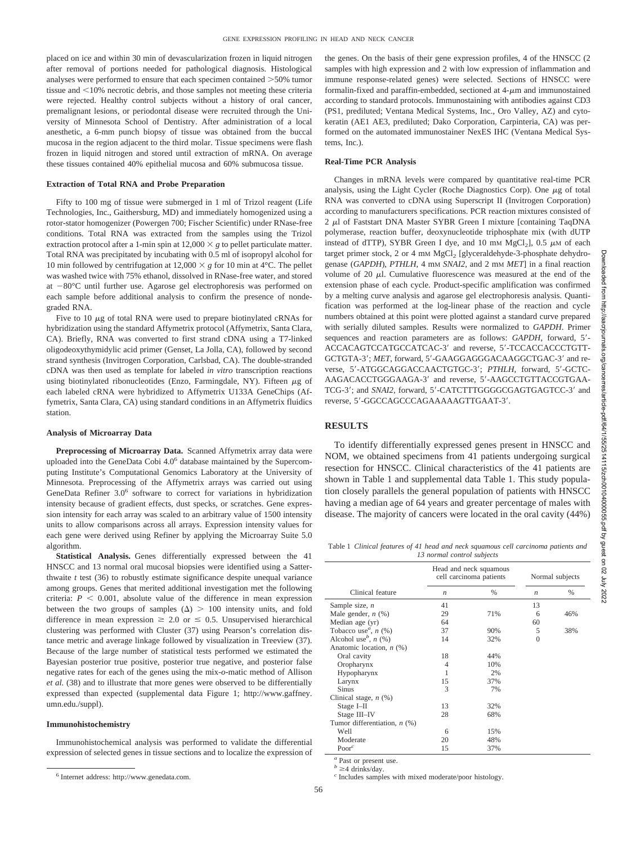placed on ice and within 30 min of devascularization frozen in liquid nitrogen after removal of portions needed for pathological diagnosis. Histological analyses were performed to ensure that each specimen contained  $>50\%$  tumor tissue and <10% necrotic debris, and those samples not meeting these criteria were rejected. Healthy control subjects without a history of oral cancer, premalignant lesions, or periodontal disease were recruited through the University of Minnesota School of Dentistry. After administration of a local anesthetic, a 6-mm punch biopsy of tissue was obtained from the buccal mucosa in the region adjacent to the third molar. Tissue specimens were flash frozen in liquid nitrogen and stored until extraction of mRNA. On average these tissues contained 40% epithelial mucosa and 60% submucosa tissue.

#### **Extraction of Total RNA and Probe Preparation**

Fifty to 100 mg of tissue were submerged in 1 ml of Trizol reagent (Life Technologies, Inc., Gaithersburg, MD) and immediately homogenized using a rotor-stator homogenizer (Powergen 700; Fischer Scientific) under RNase-free conditions. Total RNA was extracted from the samples using the Trizol extraction protocol after a 1-min spin at  $12,000 \times g$  to pellet particulate matter. Total RNA was precipitated by incubating with 0.5 ml of isopropyl alcohol for 10 min followed by centrifugation at  $12,000 \times g$  for 10 min at 4<sup>o</sup>C. The pellet was washed twice with 75% ethanol, dissolved in RNase-free water, and stored at  $-80^{\circ}$ C until further use. Agarose gel electrophoresis was performed on each sample before additional analysis to confirm the presence of nondegraded RNA.

Five to 10  $\mu$ g of total RNA were used to prepare biotinylated cRNAs for hybridization using the standard Affymetrix protocol (Affymetrix, Santa Clara, CA). Briefly, RNA was converted to first strand cDNA using a T7-linked oligodeoxythymidylic acid primer (Genset, La Jolla, CA), followed by second strand synthesis (Invitrogen Corporation, Carlsbad, CA). The double-stranded cDNA was then used as template for labeled *in vitro* transcription reactions using biotinylated ribonucleotides (Enzo, Farmingdale, NY). Fifteen  $\mu$ g of each labeled cRNA were hybridized to Affymetrix U133A GeneChips (Affymetrix, Santa Clara, CA) using standard conditions in an Affymetrix fluidics station.

#### **Analysis of Microarray Data**

**Preprocessing of Microarray Data.** Scanned Affymetrix array data were uploaded into the GeneData Cobi 4.06 database maintained by the Supercomputing Institute's Computational Genomics Laboratory at the University of Minnesota. Preprocessing of the Affymetrix arrays was carried out using GeneData Refiner 3.0<sup>6</sup> software to correct for variations in hybridization intensity because of gradient effects, dust specks, or scratches. Gene expression intensity for each array was scaled to an arbitrary value of 1500 intensity units to allow comparisons across all arrays. Expression intensity values for each gene were derived using Refiner by applying the Microarray Suite 5.0 algorithm.

**Statistical Analysis.** Genes differentially expressed between the 41 HNSCC and 13 normal oral mucosal biopsies were identified using a Satterthwaite *t* test (36) to robustly estimate significance despite unequal variance among groups. Genes that merited additional investigation met the following criteria:  $P < 0.001$ , absolute value of the difference in mean expression between the two groups of samples  $(\Delta) > 100$  intensity units, and fold difference in mean expression  $\geq 2.0$  or  $\leq 0.5$ . Unsupervised hierarchical clustering was performed with Cluster (37) using Pearson's correlation distance metric and average linkage followed by visualization in Treeview (37). Because of the large number of statistical tests performed we estimated the Bayesian posterior true positive, posterior true negative, and posterior false negative rates for each of the genes using the mix-*o*-matic method of Allison *et al.* (38) and to illustrate that more genes were observed to be differentially expressed than expected (supplemental data Figure 1; http://www.gaffney. umn.edu./suppl).

#### **Immunohistochemistry**

Immunohistochemical analysis was performed to validate the differential expression of selected genes in tissue sections and to localize the expression of

<sup>6</sup> Internet address: http://www.genedata.com.

the genes. On the basis of their gene expression profiles, 4 of the HNSCC (2 samples with high expression and 2 with low expression of inflammation and immune response-related genes) were selected. Sections of HNSCC were formalin-fixed and paraffin-embedded, sectioned at  $4-\mu m$  and immunostained according to standard protocols. Immunostaining with antibodies against CD3 (PS1, prediluted; Ventana Medical Systems, Inc., Oro Valley, AZ) and cytokeratin (AE1 AE3, prediluted; Dako Corporation, Carpinteria, CA) was performed on the automated immunostainer NexES IHC (Ventana Medical Systems, Inc.).

## **Real-Time PCR Analysis**

Changes in mRNA levels were compared by quantitative real-time PCR analysis, using the Light Cycler (Roche Diagnostics Corp). One  $\mu$ g of total RNA was converted to cDNA using Superscript II (Invitrogen Corporation) according to manufacturers specifications. PCR reaction mixtures consisted of  $2 \mu$ l of Faststart DNA Master SYBR Green I mixture [containing TaqDNA polymerase, reaction buffer, deoxynucleotide triphosphate mix (with dUTP instead of dTTP), SYBR Green I dye, and 10 mm  $MgCl<sub>2</sub>$ ], 0.5  $\mu$ M of each target primer stock, 2 or 4 mM MgCl<sub>2</sub> [glyceraldehyde-3-phosphate dehydrogenase (*GAPDH*), *PTHLH*,4mM *SNAI2*, and 2 mM *MET*] in a final reaction volume of 20  $\mu$ l. Cumulative fluorescence was measured at the end of the extension phase of each cycle. Product-specific amplification was confirmed by a melting curve analysis and agarose gel electrophoresis analysis. Quantification was performed at the log-linear phase of the reaction and cycle numbers obtained at this point were plotted against a standard curve prepared with serially diluted samples. Results were normalized to *GAPDH*. Primer sequences and reaction parameters are as follows: *GAPDH*, forward, 5- ACCACAGTCCATGCCATCAC-3' and reverse, 5'-TCCACCACCCTGTT-GCTGTA-3'; MET, forward, 5'-GAAGGAGGGACAAGGCTGAC-3' and reverse, 5'-ATGGCAGGACCAACTGTGC-3'; PTHLH, forward, 5'-GCTC-AAGACACCTGGGAAGA-3' and reverse, 5'-AAGCCTGTTACCGTGAA-TCG-3'; and *SNAI2*, forward, 5'-CATCTTTGGGGCGAGTGAGTCC-3' and reverse, 5'-GGCCAGCCCAGAAAAAGTTGAAT-3'.

## **RESULTS**

To identify differentially expressed genes present in HNSCC and NOM, we obtained specimens from 41 patients undergoing surgical resection for HNSCC. Clinical characteristics of the 41 patients are shown in Table 1 and supplemental data Table 1. This study population closely parallels the general population of patients with HNSCC having a median age of 64 years and greater percentage of males with disease. The majority of cancers were located in the oral cavity (44%)

Table 1 *Clinical features of 41 head and neck squamous cell carcinoma patients and 13 normal control subjects*

| Clinical feature                                  | Head and neck squamous<br>cell carcinoma patients |     | Normal subjects |     |
|---------------------------------------------------|---------------------------------------------------|-----|-----------------|-----|
|                                                   | $\boldsymbol{n}$                                  | %   | n               | %   |
| Sample size, $n$                                  | 41                                                |     | 13              |     |
| Male gender, $n$ $(\%)$                           | 29                                                | 71% | 6               | 46% |
| Median age (yr)                                   | 64                                                |     | 60              |     |
| Tobacco use <sup><i>a</i></sup> , <i>n</i> $(\%)$ | 37                                                | 90% | 5               | 38% |
| Alcohol use <sup>b</sup> , $n$ (%)                | 14                                                | 32% | $\theta$        |     |
| Anatomic location, $n$ (%)                        |                                                   |     |                 |     |
| Oral cavity                                       | 18                                                | 44% |                 |     |
| Oropharynx                                        | 4                                                 | 10% |                 |     |
| Hypopharynx                                       | 1                                                 | 2%  |                 |     |
| Larynx                                            | 15                                                | 37% |                 |     |
| <b>Sinus</b>                                      | 3                                                 | 7%  |                 |     |
| Clinical stage, $n$ $(\%)$                        |                                                   |     |                 |     |
| Stage I-II                                        | 13                                                | 32% |                 |     |
| Stage III-IV                                      | 28                                                | 68% |                 |     |
| Tumor differentiation, $n$ (%)                    |                                                   |     |                 |     |
| Well                                              | 6                                                 | 15% |                 |     |
| Moderate                                          | 20                                                | 48% |                 |     |
| $Poor^c$                                          | 15                                                | 37% |                 |     |

*<sup>a</sup>* Past or present use.

 $b \geq 4$  drinks/day.

<sup>c</sup> Includes samples with mixed moderate/poor histology.

ded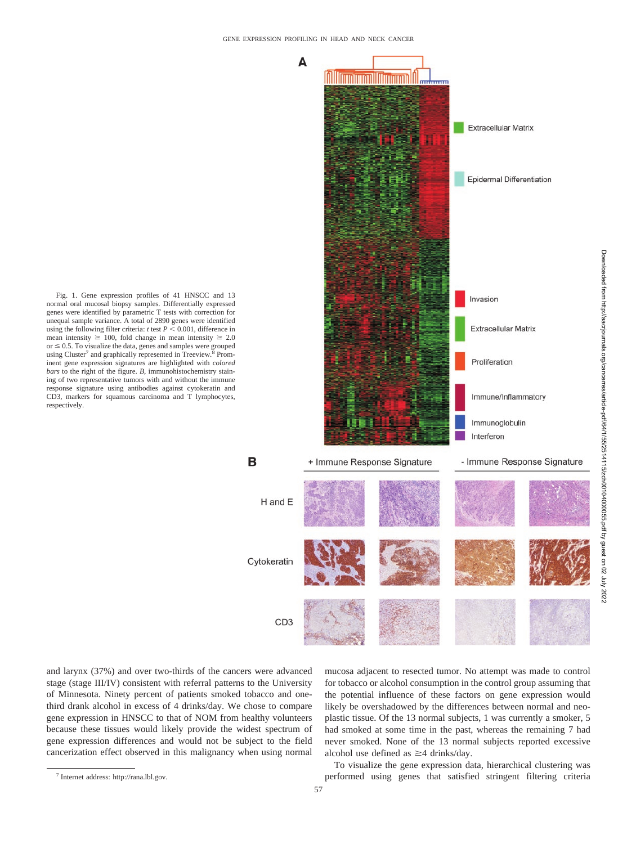A



Fig. 1. Gene expression profiles of 41 HNSCC and 13 normal oral mucosal biopsy samples. Differentially expressed genes were identified by parametric T tests with correction for unequal sample variance. A total of 2890 genes were identified using the following filter criteria:  $t$  test  $P < 0.001$ , difference in mean intensity  $\geq 100$ , fold change in mean intensity  $\geq 2.0$ or  $\leq$  0.5. To visualize the data, genes and samples were grouped using Cluster<sup>7</sup> and graphically represented in Treeview.<sup>8</sup> Prominent gene expression signatures are highlighted with *colored bars* to the right of the figure. *B*, immunohistochemistry staining of two representative tumors with and without the immune response signature using antibodies against cytokeratin and CD3, markers for squamous carcinoma and T lymphocytes, respectively.



mucosa adjacent to resected tumor. No attempt was made to control for tobacco or alcohol consumption in the control group assuming that the potential influence of these factors on gene expression would likely be overshadowed by the differences between normal and neoplastic tissue. Of the 13 normal subjects, 1 was currently a smoker, 5 had smoked at some time in the past, whereas the remaining 7 had never smoked. None of the 13 normal subjects reported excessive alcohol use defined as  $\geq$ 4 drinks/day.

To visualize the gene expression data, hierarchical clustering was Thernet address: http://rana.lbl.gov. externes that satisfied stringent filtering criteria 7 Internet address: http://rana.lbl.gov.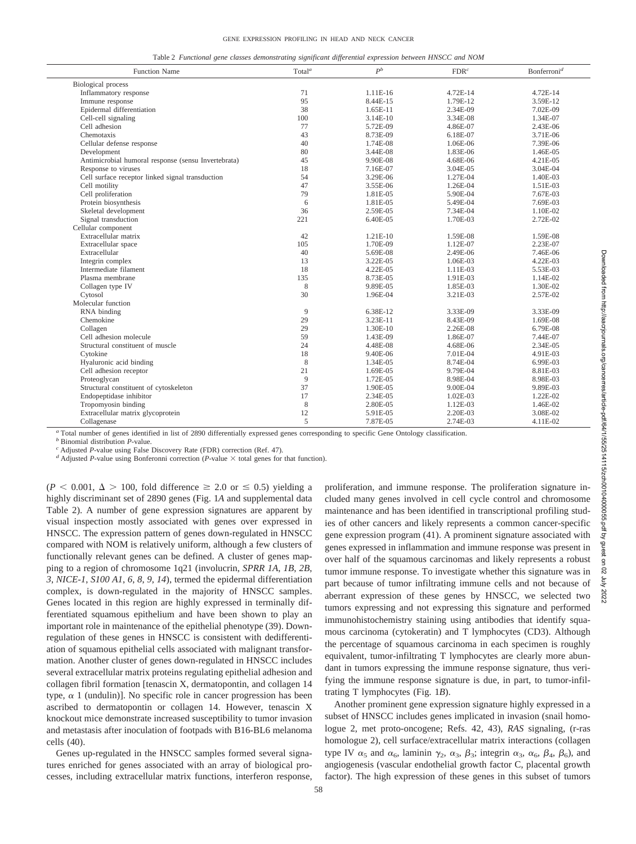Table 2 *Functional gene classes demonstrating significant differential expression between HNSCC and NOM*

| <b>Function Name</b>                                | Total <sup>a</sup> | $P^b$      | FDR <sup>c</sup> | Bonferroni <sup>d</sup> |
|-----------------------------------------------------|--------------------|------------|------------------|-------------------------|
| <b>Biological</b> process                           |                    |            |                  |                         |
| Inflammatory response                               | 71                 | $1.11E-16$ | 4.72E-14         | 4.72E-14                |
| Immune response                                     | 95                 | 8.44E-15   | 1.79E-12         | 3.59E-12                |
| Epidermal differentiation                           | 38                 | $1.65E-11$ | 2.34E-09         | 7.02E-09                |
| Cell-cell signaling                                 | 100                | $3.14E-10$ | 3.34E-08         | 1.34E-07                |
| Cell adhesion                                       | 77                 | 5.72E-09   | 4.86E-07         | 2.43E-06                |
| Chemotaxis                                          | 43                 | 8.73E-09   | 6.18E-07         | 3.71E-06                |
| Cellular defense response                           | 40                 | 1.74E-08   | 1.06E-06         | 7.39E-06                |
| Development                                         | 80                 | 3.44E-08   | 1.83E-06         | 1.46E-05                |
| Antimicrobial humoral response (sensu Invertebrata) | 45                 | 9.90E-08   | 4.68E-06         | $4.21E-0.5$             |
| Response to viruses                                 | 18                 | 7.16E-07   | 3.04E-05         | 3.04E-04                |
| Cell surface receptor linked signal transduction    | 54                 | 3.29E-06   | 1.27E-04         | 1.40E-03                |
| Cell motility                                       | 47                 | 3.55E-06   | 1.26E-04         | 1.51E-03                |
| Cell proliferation                                  | 79                 | 1.81E-05   | 5.90E-04         | 7.67E-03                |
| Protein biosynthesis                                | 6                  | 1.81E-05   | 5.49E-04         | 7.69E-03                |
| Skeletal development                                | 36                 | 2.59E-05   | 7.34E-04         | 1.10E-02                |
| Signal transduction                                 | 221                | 6.40E-05   | 1.70E-03         | 2.72E-02                |
| Cellular component                                  |                    |            |                  |                         |
| Extracellular matrix                                | 42                 | $1.21E-10$ | 1.59E-08         | 1.59E-08                |
| Extracellular space                                 | 105                | 1.70E-09   | 1.12E-07         | 2.23E-07                |
| Extracellular                                       | 40                 | 5.69E-08   | 2.49E-06         | 7.46E-06                |
| Integrin complex                                    | 13                 | 3.22E-05   | 1.06E-03         | 4.22E-03                |
| Intermediate filament                               | 18                 | 4.22E-05   | 1.11E-03         | 5.53E-03                |
| Plasma membrane                                     | 135                | 8.73E-05   | 1.91E-03         | 1.14E-02                |
| Collagen type IV                                    | 8                  | 9.89E-05   | 1.85E-03         | 1.30E-02                |
| Cytosol                                             | 30                 | 1.96E-04   | 3.21E-03         | 2.57E-02                |
| Molecular function                                  |                    |            |                  |                         |
| RNA binding                                         | 9                  | 6.38E-12   | 3.33E-09         | 3.33E-09                |
| Chemokine                                           | 29                 | 3.23E-11   | 8.43E-09         | 1.69E-08                |
| Collagen                                            | 29                 | 1.30E-10   | 2.26E-08         | 6.79E-08                |
| Cell adhesion molecule                              | 59                 | 1.43E-09   | 1.86E-07         | 7.44E-07                |
| Structural constituent of muscle                    | 24                 | 4.48E-08   | 4.68E-06         | 2.34E-05                |
| Cytokine                                            | 18                 | 9.40E-06   | $7.01E-04$       | 4.91E-03                |
| Hyaluronic acid binding                             | 8                  | 1.34E-05   | 8.74E-04         | 6.99E-03                |
| Cell adhesion receptor                              | 21                 | 1.69E-05   | 9.79E-04         | 8.81E-03                |
| Proteoglycan                                        | 9                  | 1.72E-05   | 8.98E-04         | 8.98E-03                |
| Structural constituent of cytoskeleton              | 37                 | 1.90E-05   | $9.00E-04$       | 9.89E-03                |
| Endopeptidase inhibitor                             | 17                 | 2.34E-05   | 1.02E-03         | 1.22E-02                |
| Tropomyosin binding                                 | 8                  | 2.80E-05   | $1.12E-03$       | 1.46E-02                |
| Extracellular matrix glycoprotein                   | 12                 | 5.91E-05   | 2.20E-03         | 3.08E-02                |
| Collagenase                                         | 5                  | 7.87E-05   | 2.74E-03         | 4.11E-02                |

*a* Total number of genes identified in list of 2890 differentially expressed genes corresponding to specific Gene Ontology classification. *b* Binomial distribution *P*-value.

<sup>c</sup> Adjusted *P*-value using False Discovery Rate (FDR) correction (Ref. 47).<br><sup>d</sup> Adjusted *P*-value using Bonferonni correction (*P*-value  $\times$  total genes for that function).

 $(P < 0.001, \Delta > 100, \text{ fold difference} \ge 2.0 \text{ or } \le 0.5) \text{ yielding a}$ highly discriminant set of 2890 genes (Fig. 1*A* and supplemental data Table 2). A number of gene expression signatures are apparent by visual inspection mostly associated with genes over expressed in HNSCC. The expression pattern of genes down-regulated in HNSCC compared with NOM is relatively uniform, although a few clusters of functionally relevant genes can be defined. A cluster of genes mapping to a region of chromosome 1q21 (involucrin, *SPRR 1A*, *1B*, *2B*, *3*, *NICE-1*, *S100 A1*, *6*, *8*, *9*, *14*), termed the epidermal differentiation complex, is down-regulated in the majority of HNSCC samples. Genes located in this region are highly expressed in terminally differentiated squamous epithelium and have been shown to play an important role in maintenance of the epithelial phenotype (39). Downregulation of these genes in HNSCC is consistent with dedifferentiation of squamous epithelial cells associated with malignant transformation. Another cluster of genes down-regulated in HNSCC includes several extracellular matrix proteins regulating epithelial adhesion and collagen fibril formation [tenascin X, dermatopontin, and collagen 14 type,  $\alpha$  1 (undulin)]. No specific role in cancer progression has been ascribed to dermatopontin or collagen 14. However, tenascin X knockout mice demonstrate increased susceptibility to tumor invasion and metastasis after inoculation of footpads with B16-BL6 melanoma cells (40).

Genes up-regulated in the HNSCC samples formed several signatures enriched for genes associated with an array of biological processes, including extracellular matrix functions, interferon response, proliferation, and immune response. The proliferation signature included many genes involved in cell cycle control and chromosome maintenance and has been identified in transcriptional profiling studies of other cancers and likely represents a common cancer-specific gene expression program (41). A prominent signature associated with genes expressed in inflammation and immune response was present in over half of the squamous carcinomas and likely represents a robust tumor immune response. To investigate whether this signature was in part because of tumor infiltrating immune cells and not because of aberrant expression of these genes by HNSCC, we selected two tumors expressing and not expressing this signature and performed immunohistochemistry staining using antibodies that identify squamous carcinoma (cytokeratin) and T lymphocytes (CD3). Although the percentage of squamous carcinoma in each specimen is roughly equivalent, tumor-infiltrating T lymphocytes are clearly more abundant in tumors expressing the immune response signature, thus verifying the immune response signature is due, in part, to tumor-infiltrating T lymphocytes (Fig. 1*B*).

Another prominent gene expression signature highly expressed in a subset of HNSCC includes genes implicated in invasion (snail homologue 2, met proto-oncogene; Refs. 42, 43), *RAS* signaling, (r-ras homologue 2), cell surface/extracellular matrix interactions (collagen type IV  $\alpha_5$  and  $\alpha_6$ , laminin  $\gamma_2$ ,  $\alpha_3$ ,  $\beta_3$ ; integrin  $\alpha_3$ ,  $\alpha_6$ ,  $\beta_4$ ,  $\beta_6$ ), and angiogenesis (vascular endothelial growth factor C, placental growth factor). The high expression of these genes in this subset of tumors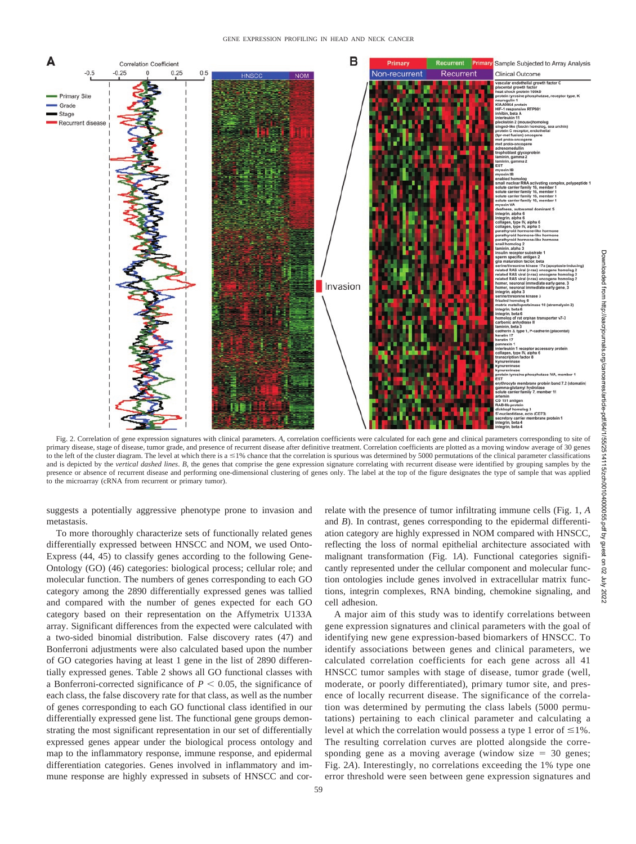

Fig. 2. Correlation of gene expression signatures with clinical parameters. *A*, correlation coefficients were calculated for each gene and clinical parameters corresponding to site of primary disease, stage of disease, tumor grade, and presence of recurrent disease after definitive treatment. Correlation coefficients are plotted as a moving window average of 30 genes to the left of the cluster diagram. The level at which there is a  $\leq 1\%$  chance that the correlation is spurious was determined by 5000 permutations of the clinical parameter classifications and is depicted by the *vertical dashed lines*. *B*, the genes that comprise the gene expression signature correlating with recurrent disease were identified by grouping samples by the presence or absence of recurrent disease and performing one-dimensional clustering of genes only. The label at the top of the figure designates the type of sample that was applied to the microarray (cRNA from recurrent or primary tumor).

suggests a potentially aggressive phenotype prone to invasion and metastasis.

To more thoroughly characterize sets of functionally related genes differentially expressed between HNSCC and NOM, we used Onto-Express (44, 45) to classify genes according to the following Gene-Ontology (GO) (46) categories: biological process; cellular role; and molecular function. The numbers of genes corresponding to each GO category among the 2890 differentially expressed genes was tallied and compared with the number of genes expected for each GO category based on their representation on the Affymetrix U133A array. Significant differences from the expected were calculated with a two-sided binomial distribution. False discovery rates (47) and Bonferroni adjustments were also calculated based upon the number of GO categories having at least 1 gene in the list of 2890 differentially expressed genes. Table 2 shows all GO functional classes with a Bonferroni-corrected significance of  $P < 0.05$ , the significance of each class, the false discovery rate for that class, as well as the number of genes corresponding to each GO functional class identified in our differentially expressed gene list. The functional gene groups demonstrating the most significant representation in our set of differentially expressed genes appear under the biological process ontology and map to the inflammatory response, immune response, and epidermal differentiation categories. Genes involved in inflammatory and immune response are highly expressed in subsets of HNSCC and corDownloaded from http://aacripulmals.org/cancerres/article-pdf/64/115/2514115/2514116/200000010400000 Downloaded from http://aacrjournals.org/cancerres/article-pdf/64/1/55/2514115/zch00104000055.pdf by guest on 02 July 2022

202

relate with the presence of tumor infiltrating immune cells (Fig. 1, *A* and *B*). In contrast, genes corresponding to the epidermal differentiation category are highly expressed in NOM compared with HNSCC, reflecting the loss of normal epithelial architecture associated with malignant transformation (Fig. 1*A*). Functional categories significantly represented under the cellular component and molecular function ontologies include genes involved in extracellular matrix functions, integrin complexes, RNA binding, chemokine signaling, and cell adhesion.

A major aim of this study was to identify correlations between gene expression signatures and clinical parameters with the goal of identifying new gene expression-based biomarkers of HNSCC. To identify associations between genes and clinical parameters, we calculated correlation coefficients for each gene across all 41 HNSCC tumor samples with stage of disease, tumor grade (well, moderate, or poorly differentiated), primary tumor site, and presence of locally recurrent disease. The significance of the correlation was determined by permuting the class labels (5000 permutations) pertaining to each clinical parameter and calculating a level at which the correlation would possess a type 1 error of  $\leq 1\%$ . The resulting correlation curves are plotted alongside the corresponding gene as a moving average (window size  $=$  30 genes; Fig. 2*A*). Interestingly, no correlations exceeding the 1% type one error threshold were seen between gene expression signatures and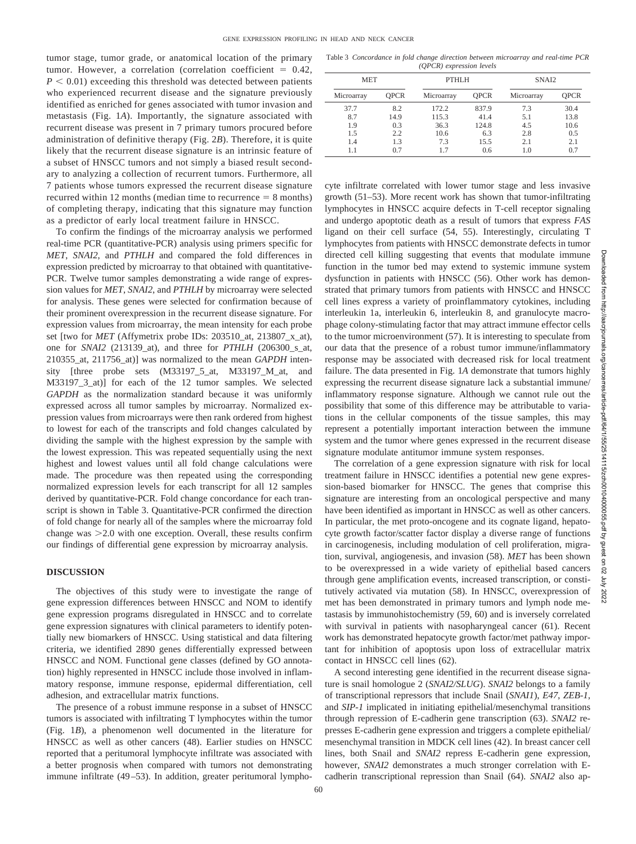tumor stage, tumor grade, or anatomical location of the primary tumor. However, a correlation (correlation coefficient  $= 0.42$ ,  $P < 0.01$ ) exceeding this threshold was detected between patients who experienced recurrent disease and the signature previously identified as enriched for genes associated with tumor invasion and metastasis (Fig. 1*A*). Importantly, the signature associated with recurrent disease was present in 7 primary tumors procured before administration of definitive therapy (Fig. 2*B*). Therefore, it is quite likely that the recurrent disease signature is an intrinsic feature of a subset of HNSCC tumors and not simply a biased result secondary to analyzing a collection of recurrent tumors. Furthermore, all 7 patients whose tumors expressed the recurrent disease signature recurred within 12 months (median time to recurrence  $= 8$  months) of completing therapy, indicating that this signature may function as a predictor of early local treatment failure in HNSCC.

To confirm the findings of the microarray analysis we performed real-time PCR (quantitative-PCR) analysis using primers specific for *MET*, *SNAI2*, and *PTHLH* and compared the fold differences in expression predicted by microarray to that obtained with quantitative-PCR. Twelve tumor samples demonstrating a wide range of expression values for *MET*, *SNAI2*, and *PTHLH* by microarray were selected for analysis. These genes were selected for confirmation because of their prominent overexpression in the recurrent disease signature. For expression values from microarray, the mean intensity for each probe set [two for *MET* (Affymetrix probe IDs: 203510\_at, 213807\_x\_at), one for *SNAI2* (213139\_at), and three for *PTHLH* (206300\_s\_at, 210355\_at, 211756\_at)] was normalized to the mean *GAPDH* intensity [three probe sets (M33197\_5\_at, M33197\_M\_at, and M33197\_3\_at)] for each of the 12 tumor samples. We selected *GAPDH* as the normalization standard because it was uniformly expressed across all tumor samples by microarray. Normalized expression values from microarrays were then rank ordered from highest to lowest for each of the transcripts and fold changes calculated by dividing the sample with the highest expression by the sample with the lowest expression. This was repeated sequentially using the next highest and lowest values until all fold change calculations were made. The procedure was then repeated using the corresponding normalized expression levels for each transcript for all 12 samples derived by quantitative-PCR. Fold change concordance for each transcript is shown in Table 3. Quantitative-PCR confirmed the direction of fold change for nearly all of the samples where the microarray fold change was  $>2.0$  with one exception. Overall, these results confirm our findings of differential gene expression by microarray analysis.

# **DISCUSSION**

The objectives of this study were to investigate the range of gene expression differences between HNSCC and NOM to identify gene expression programs disregulated in HNSCC and to correlate gene expression signatures with clinical parameters to identify potentially new biomarkers of HNSCC. Using statistical and data filtering criteria, we identified 2890 genes differentially expressed between HNSCC and NOM. Functional gene classes (defined by GO annotation) highly represented in HNSCC include those involved in inflammatory response, immune response, epidermal differentiation, cell adhesion, and extracellular matrix functions.

The presence of a robust immune response in a subset of HNSCC tumors is associated with infiltrating T lymphocytes within the tumor (Fig. 1*B*), a phenomenon well documented in the literature for HNSCC as well as other cancers (48). Earlier studies on HNSCC reported that a peritumoral lymphocyte infiltrate was associated with a better prognosis when compared with tumors not demonstrating immune infiltrate (49–53). In addition, greater peritumoral lympho-

Table 3 *Concordance in fold change direction between microarray and real-time PCR (QPCR) expression levels*

| <b>MET</b> |             | <b>PTHLH</b> |             | SNAI2      |             |
|------------|-------------|--------------|-------------|------------|-------------|
| Microarray | <b>OPCR</b> | Microarray   | <b>OPCR</b> | Microarray | <b>OPCR</b> |
| 37.7       | 8.2         | 172.2        | 837.9       | 7.3        | 30.4        |
| 8.7        | 14.9        | 115.3        | 41.4        | 5.1        | 13.8        |
| 1.9        | 0.3         | 36.3         | 124.8       | 4.5        | 10.6        |
| 1.5        | 2.2         | 10.6         | 6.3         | 2.8        | 0.5         |
| 1.4        | 1.3         | 7.3          | 15.5        | 2.1        | 2.1         |
| 1.1        | 0.7         | 1.7          | 0.6         | 1.0        | 0.7         |

cyte infiltrate correlated with lower tumor stage and less invasive growth (51–53). More recent work has shown that tumor-infiltrating lymphocytes in HNSCC acquire defects in T-cell receptor signaling and undergo apoptotic death as a result of tumors that express *FAS* ligand on their cell surface (54, 55). Interestingly, circulating T lymphocytes from patients with HNSCC demonstrate defects in tumor directed cell killing suggesting that events that modulate immune function in the tumor bed may extend to systemic immune system dysfunction in patients with HNSCC (56). Other work has demonstrated that primary tumors from patients with HNSCC and HNSCC cell lines express a variety of proinflammatory cytokines, including interleukin 1a, interleukin 6, interleukin 8, and granulocyte macrophage colony-stimulating factor that may attract immune effector cells to the tumor microenvironment (57). It is interesting to speculate from our data that the presence of a robust tumor immune/inflammatory response may be associated with decreased risk for local treatment failure. The data presented in Fig. 1*A* demonstrate that tumors highly expressing the recurrent disease signature lack a substantial immune/ inflammatory response signature. Although we cannot rule out the possibility that some of this difference may be attributable to variations in the cellular components of the tissue samples, this may represent a potentially important interaction between the immune system and the tumor where genes expressed in the recurrent disease signature modulate antitumor immune system responses.

The correlation of a gene expression signature with risk for local treatment failure in HNSCC identifies a potential new gene expression-based biomarker for HNSCC. The genes that comprise this signature are interesting from an oncological perspective and many have been identified as important in HNSCC as well as other cancers. In particular, the met proto-oncogene and its cognate ligand, hepatocyte growth factor/scatter factor display a diverse range of functions in carcinogenesis, including modulation of cell proliferation, migration, survival, angiogenesis, and invasion (58). *MET* has been shown to be overexpressed in a wide variety of epithelial based cancers through gene amplification events, increased transcription, or constitutively activated via mutation (58). In HNSCC, overexpression of met has been demonstrated in primary tumors and lymph node metastasis by immunohistochemistry (59, 60) and is inversely correlated with survival in patients with nasopharyngeal cancer (61). Recent work has demonstrated hepatocyte growth factor/met pathway important for inhibition of apoptosis upon loss of extracellular matrix contact in HNSCC cell lines (62).

A second interesting gene identified in the recurrent disease signature is snail homologue 2 (*SNAI2/SLUG*). *SNAI2* belongs to a family of transcriptional repressors that include Snail (*SNAI1*), *E47*, *ZEB-1*, and *SIP-1* implicated in initiating epithelial/mesenchymal transitions through repression of E-cadherin gene transcription (63). *SNAI2* represses E-cadherin gene expression and triggers a complete epithelial/ mesenchymal transition in MDCK cell lines (42). In breast cancer cell lines, both Snail and *SNAI2* repress E-cadherin gene expression, however, *SNAI2* demonstrates a much stronger correlation with Ecadherin transcriptional repression than Snail (64). *SNAI2* also ap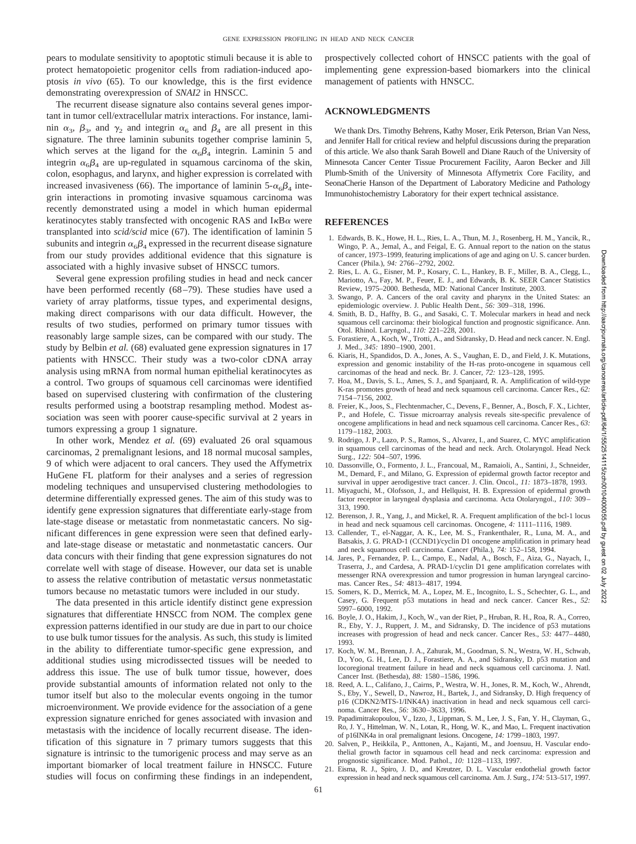pears to modulate sensitivity to apoptotic stimuli because it is able to protect hematopoietic progenitor cells from radiation-induced apoptosis *in vivo* (65). To our knowledge, this is the first evidence demonstrating overexpression of *SNAI2* in HNSCC.

The recurrent disease signature also contains several genes important in tumor cell/extracellular matrix interactions. For instance, laminin  $\alpha_3$ ,  $\beta_3$ , and  $\gamma_2$  and integrin  $\alpha_6$  and  $\beta_4$  are all present in this signature. The three laminin subunits together comprise laminin 5, which serves at the ligand for the  $\alpha_6\beta_4$  integrin. Laminin 5 and integrin  $\alpha_6\beta_4$  are up-regulated in squamous carcinoma of the skin, colon, esophagus, and larynx, and higher expression is correlated with increased invasiveness (66). The importance of laminin  $5-\alpha_6\beta_4$  integrin interactions in promoting invasive squamous carcinoma was recently demonstrated using a model in which human epidermal keratinocytes stably transfected with oncogenic RAS and  $I<sub>K</sub>B<sub>\alpha</sub>$  were transplanted into *scid/scid* mice (67). The identification of laminin 5 subunits and integrin  $\alpha_6\beta_4$  expressed in the recurrent disease signature from our study provides additional evidence that this signature is associated with a highly invasive subset of HNSCC tumors.

Several gene expression profiling studies in head and neck cancer have been performed recently (68–79). These studies have used a variety of array platforms, tissue types, and experimental designs, making direct comparisons with our data difficult. However, the results of two studies, performed on primary tumor tissues with reasonably large sample sizes, can be compared with our study. The study by Belbin *et al.* (68) evaluated gene expression signatures in 17 patients with HNSCC. Their study was a two-color cDNA array analysis using mRNA from normal human epithelial keratinocytes as a control. Two groups of squamous cell carcinomas were identified based on supervised clustering with confirmation of the clustering results performed using a bootstrap resampling method. Modest association was seen with poorer cause-specific survival at 2 years in tumors expressing a group 1 signature.

In other work, Mendez *et al.* (69) evaluated 26 oral squamous carcinomas, 2 premalignant lesions, and 18 normal mucosal samples, 9 of which were adjacent to oral cancers. They used the Affymetrix HuGene FL platform for their analyses and a series of regression modeling techniques and unsupervised clustering methodologies to determine differentially expressed genes. The aim of this study was to identify gene expression signatures that differentiate early-stage from late-stage disease or metastatic from nonmetastatic cancers. No significant differences in gene expression were seen that defined earlyand late-stage disease or metastatic and nonmetastatic cancers. Our data concurs with their finding that gene expression signatures do not correlate well with stage of disease. However, our data set is unable to assess the relative contribution of metastatic *versus* nonmetastatic tumors because no metastatic tumors were included in our study.

The data presented in this article identify distinct gene expression signatures that differentiate HNSCC from NOM. The complex gene expression patterns identified in our study are due in part to our choice to use bulk tumor tissues for the analysis. As such, this study is limited in the ability to differentiate tumor-specific gene expression, and additional studies using microdissected tissues will be needed to address this issue. The use of bulk tumor tissue, however, does provide substantial amounts of information related not only to the tumor itself but also to the molecular events ongoing in the tumor microenvironment. We provide evidence for the association of a gene expression signature enriched for genes associated with invasion and metastasis with the incidence of locally recurrent disease. The identification of this signature in 7 primary tumors suggests that this signature is intrinsic to the tumorigenic process and may serve as an important biomarker of local treatment failure in HNSCC. Future studies will focus on confirming these findings in an independent, prospectively collected cohort of HNSCC patients with the goal of implementing gene expression-based biomarkers into the clinical management of patients with HNSCC.

# **ACKNOWLEDGMENTS**

We thank Drs. Timothy Behrens, Kathy Moser, Erik Peterson, Brian Van Ness, and Jennifer Hall for critical review and helpful discussions during the preparation of this article. We also thank Sarah Bowell and Diane Rauch of the University of Minnesota Cancer Center Tissue Procurement Facility, Aaron Becker and Jill Plumb-Smith of the University of Minnesota Affymetrix Core Facility, and SeonaCherie Hanson of the Department of Laboratory Medicine and Pathology Immunohistochemistry Laboratory for their expert technical assistance.

# **REFERENCES**

- 1. Edwards, B. K., Howe, H. L., Ries, L. A., Thun, M. J., Rosenberg, H. M., Yancik, R., Wingo, P. A., Jemal, A., and Feigal, E. G. Annual report to the nation on the status of cancer, 1973–1999, featuring implications of age and aging on U. S. cancer burden. Cancer (Phila.), *94:* 2766–2792, 2002.
- 2. Ries, L. A. G., Eisner, M. P., Kosary, C. L., Hankey, B. F., Miller, B. A., Clegg, L., Mariotto, A., Fay, M. P., Feuer, E. J., and Edwards, B. K. SEER Cancer Statistics Review, 1975–2000. Bethesda, MD: National Cancer Institute, 2003.
- 3. Swango, P. A. Cancers of the oral cavity and pharynx in the United States: an epidemiologic overview. J. Public Health Dent., *56:* 309–318, 1996.
- 4. Smith, B. D., Haffty, B. G., and Sasaki, C. T. Molecular markers in head and neck squamous cell carcinoma: their biological function and prognostic significance. Ann. Otol. Rhinol. Laryngol., *110:* 221–228, 2001.
- 5. Forastiere, A., Koch, W., Trotti, A., and Sidransky, D. Head and neck cancer. N. Engl. J. Med., *345:* 1890–1900, 2001.
- 6. Kiaris, H., Spandidos, D. A., Jones, A. S., Vaughan, E. D., and Field, J. K. Mutations, expression and genomic instability of the H-ras proto-oncogene in squamous cell carcinomas of the head and neck. Br. J. Cancer, *72:* 123–128, 1995.
- 7. Hoa, M., Davis, S. L., Ames, S. J., and Spanjaard, R. A. Amplification of wild-type K-ras promotes growth of head and neck squamous cell carcinoma. Cancer Res., *62:* 7154–7156, 2002.
- 8. Freier, K., Joos, S., Flechtenmacher, C., Devens, F., Benner, A., Bosch, F. X., Lichter, P., and Hofele, C. Tissue microarray analysis reveals site-specific prevalence of oncogene amplifications in head and neck squamous cell carcinoma. Cancer Res., *63:* 1179–1182, 2003.
- 9. Rodrigo, J. P., Lazo, P. S., Ramos, S., Alvarez, I., and Suarez, C. MYC amplification in squamous cell carcinomas of the head and neck. Arch. Otolaryngol. Head Neck Surg., *122:* 504–507, 1996.
- 10. Dassonville, O., Formento, J. L., Francoual, M., Ramaioli, A., Santini, J., Schneider, M., Demard, F., and Milano, G. Expression of epidermal growth factor receptor and survival in upper aerodigestive tract cancer. J. Clin. Oncol., *11:* 1873–1878, 1993.
- 11. Miyaguchi, M., Olofsson, J., and Hellquist, H. B. Expression of epidermal growth factor receptor in laryngeal dysplasia and carcinoma. Acta Otolaryngol., *110:* 309– 313, 1990.
- 12. Berenson, J. R., Yang, J., and Mickel, R. A. Frequent amplification of the bcl-1 locus in head and neck squamous cell carcinomas. Oncogene, *4:* 1111–1116, 1989.
- 13. Callender, T., el-Naggar, A. K., Lee, M. S., Frankenthaler, R., Luna, M. A., and Batsakis, J. G. PRAD-1 (CCND1)/cyclin D1 oncogene amplification in primary head and neck squamous cell carcinoma. Cancer (Phila.), *74:* 152–158, 1994.
- 14. Jares, P., Fernandez, P. L., Campo, E., Nadal, A., Bosch, F., Aiza, G., Nayach, I., Traserra, J., and Cardesa, A. PRAD-1/cyclin D1 gene amplification correlates with messenger RNA overexpression and tumor progression in human laryngeal carcinomas. Cancer Res., *54:* 4813–4817, 1994.
- 15. Somers, K. D., Merrick, M. A., Lopez, M. E., Incognito, L. S., Schechter, G. L., and Casey, G. Frequent p53 mutations in head and neck cancer. Cancer Res., *52:* 5997–6000, 1992.
- 16. Boyle, J. O., Hakim, J., Koch, W., van der Riet, P., Hruban, R. H., Roa, R. A., Correo, R., Eby, Y. J., Ruppert, J. M., and Sidransky, D. The incidence of p53 mutations increases with progression of head and neck cancer. Cancer Res., *53:* 4477–4480, 1993.
- 17. Koch, W. M., Brennan, J. A., Zahurak, M., Goodman, S. N., Westra, W. H., Schwab, D., Yoo, G. H., Lee, D. J., Forastiere, A. A., and Sidransky, D. p53 mutation and locoregional treatment failure in head and neck squamous cell carcinoma. J. Natl. Cancer Inst. (Bethesda), *88:* 1580–1586, 1996.
- 18. Reed, A. L., Califano, J., Cairns, P., Westra, W. H., Jones, R. M., Koch, W., Ahrendt, S., Eby, Y., Sewell, D., Nawroz, H., Bartek, J., and Sidransky, D. High frequency of p16 (CDKN2/MTS-1/INK4A) inactivation in head and neck squamous cell carcinoma. Cancer Res., *56:* 3630–3633, 1996.
- 19. Papadimitrakopoulou, V., Izzo, J., Lippman, S. M., Lee, J. S., Fan, Y. H., Clayman, G., Ro, J. Y., Hittelman, W. N., Lotan, R., Hong, W. K., and Mao, L. Frequent inactivation of p16INK4a in oral premalignant lesions. Oncogene, *14:* 1799–1803, 1997.
- 20. Salven, P., Heikkila, P., Anttonen, A., Kajanti, M., and Joensuu, H. Vascular endothelial growth factor in squamous cell head and neck carcinoma: expression and prognostic significance. Mod. Pathol., *10:* 1128–1133, 1997.
- 21. Eisma, R. J., Spiro, J. D., and Kreutzer, D. L. Vascular endothelial growth factor expression in head and neck squamous cell carcinoma. Am. J. Surg., *174:* 513–517, 1997.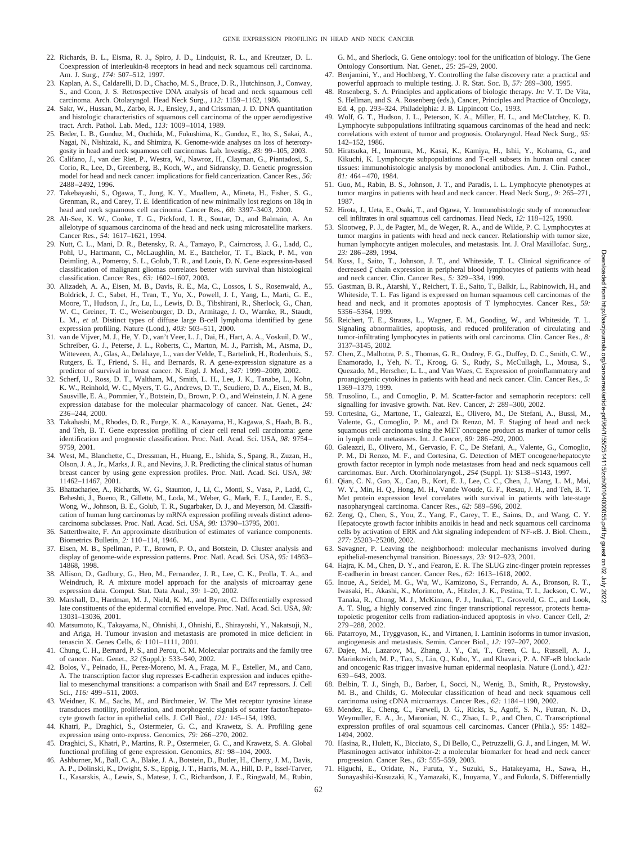- 22. Richards, B. L., Eisma, R. J., Spiro, J. D., Lindquist, R. L., and Kreutzer, D. L. Coexpression of interleukin-8 receptors in head and neck squamous cell carcinoma. Am. J. Surg., *174:* 507–512, 1997.
- 23. Kaplan, A. S., Caldarelli, D. D., Chacho, M. S., Bruce, D. R., Hutchinson, J., Conway, S., and Coon, J. S. Retrospective DNA analysis of head and neck squamous cell carcinoma. Arch. Otolaryngol. Head Neck Surg., *112:* 1159–1162, 1986.
- 24. Sakr, W., Hussan, M., Zarbo, R. J., Ensley, J., and Crissman, J. D. DNA quantitation and histologic characteristics of squamous cell carcinoma of the upper aerodigestive tract. Arch. Pathol. Lab. Med., *113:* 1009–1014, 1989.
- 25. Beder, L. B., Gunduz, M., Ouchida, M., Fukushima, K., Gunduz, E., Ito, S., Sakai, A., Nagai, N., Nishizaki, K., and Shimizu, K. Genome-wide analyses on loss of heterozygosity in head and neck squamous cell carcinomas. Lab. Investig., *83:* 99–105, 2003.
- 26. Califano, J., van der Riet, P., Westra, W., Nawroz, H., Clayman, G., Piantadosi, S., Corio, R., Lee, D., Greenberg, B., Koch, W., and Sidransky, D. Genetic progression model for head and neck cancer: implications for field cancerization. Cancer Res., *56:* 2488–2492, 1996.
- 27. Takebayashi, S., Ogawa, T., Jung, K. Y., Muallem, A., Mineta, H., Fisher, S. G., Grenman, R., and Carey, T. E. Identification of new minimally lost regions on 18q in head and neck squamous cell carcinoma. Cancer Res., *60:* 3397–3403, 2000.
- 28. Ah-See, K. W., Cooke, T. G., Pickford, I. R., Soutar, D., and Balmain, A. An allelotype of squamous carcinoma of the head and neck using microsatellite markers. Cancer Res., *54:* 1617–1621, 1994.
- 29. Nutt, C. L., Mani, D. R., Betensky, R. A., Tamayo, P., Cairncross, J. G., Ladd, C., Pohl, U., Hartmann, C., McLaughlin, M. E., Batchelor, T. T., Black, P. M., von Deimling, A., Pomeroy, S. L., Golub, T. R., and Louis, D. N. Gene expression-based classification of malignant gliomas correlates better with survival than histological classification. Cancer Res., *63:* 1602–1607, 2003.
- 30. Alizadeh, A. A., Eisen, M. B., Davis, R. E., Ma, C., Lossos, I. S., Rosenwald, A., Boldrick, J. C., Sabet, H., Tran, T., Yu, X., Powell, J. I., Yang, L., Marti, G. E., Moore, T., Hudson, J., Jr., Lu, L., Lewis, D. B., Tibshirani, R., Sherlock, G., Chan, W. C., Greiner, T. C., Weisenburger, D. D., Armitage, J. O., Warnke, R., Staudt, L. M., *et al.* Distinct types of diffuse large B-cell lymphoma identified by gene expression profiling. Nature (Lond.), *403:* 503–511, 2000.
- 31. van de Vijver, M. J., He, Y. D., van't Veer, L. J., Dai, H., Hart, A. A., Voskuil, D. W., Schreiber, G. J., Peterse, J. L., Roberts, C., Marton, M. J., Parrish, M., Atsma, D., Witteveen, A., Glas, A., Delahaye, L., van der Velde, T., Bartelink, H., Rodenhuis, S., Rutgers, E. T., Friend, S. H., and Bernards, R. A gene-expression signature as a predictor of survival in breast cancer. N. Engl. J. Med., *347:* 1999–2009, 2002.
- 32. Scherf, U., Ross, D. T., Waltham, M., Smith, L. H., Lee, J. K., Tanabe, L., Kohn, K. W., Reinhold, W. C., Myers, T. G., Andrews, D. T., Scudiero, D. A., Eisen, M. B., Sausville, E. A., Pommier, Y., Botstein, D., Brown, P. O., and Weinstein, J. N. A gene expression database for the molecular pharmacology of cancer. Nat. Genet., *24:* 236–244, 2000.
- 33. Takahashi, M., Rhodes, D. R., Furge, K. A., Kanayama, H., Kagawa, S., Haab, B. B., and Teh, B. T. Gene expression profiling of clear cell renal cell carcinoma: gene identification and prognostic classification. Proc. Natl. Acad. Sci. USA, *98:* 9754– 9759, 2001.
- 34. West, M., Blanchette, C., Dressman, H., Huang, E., Ishida, S., Spang, R., Zuzan, H., Olson, J. A., Jr., Marks, J. R., and Nevins, J. R. Predicting the clinical status of human breast cancer by using gene expression profiles. Proc. Natl. Acad. Sci. USA, *98:* 11462–11467, 2001.
- 35. Bhattacharjee, A., Richards, W. G., Staunton, J., Li, C., Monti, S., Vasa, P., Ladd, C., Beheshti, J., Bueno, R., Gillette, M., Loda, M., Weber, G., Mark, E. J., Lander, E. S., Wong, W., Johnson, B. E., Golub, T. R., Sugarbaker, D. J., and Meyerson, M. Classification of human lung carcinomas by mRNA expression profiling reveals distinct adenocarcinoma subclasses. Proc. Natl. Acad. Sci. USA, *98:* 13790–13795, 2001.
- 36. Satterthwaite, F. An approximate distribution of estimates of variance components. Biometrics Bulletin, *2:* 110–114, 1946.
- 37. Eisen, M. B., Spellman, P. T., Brown, P. O., and Botstein, D. Cluster analysis and display of genome-wide expression patterns. Proc. Natl. Acad. Sci. USA, *95:* 14863– 14868, 1998.
- 38. Allison, D., Gadbury, G., Heo, M., Fernandez, J. R., Lee, C. K., Prolla, T. A., and Weindruch, R. A mixture model approach for the analysis of microarray gene expression data. Comput. Stat. Data Anal., *39:* 1–20, 2002.
- 39. Marshall, D., Hardman, M. J., Nield, K. M., and Byrne, C. Differentially expressed late constituents of the epidermal cornified envelope. Proc. Natl. Acad. Sci. USA, *98:* 13031–13036, 2001.
- 40. Matsumoto, K., Takayama, N., Ohnishi, J., Ohnishi, E., Shirayoshi, Y., Nakatsuji, N., and Ariga, H. Tumour invasion and metastasis are promoted in mice deficient in tenascin X. Genes Cells, *6:* 1101–1111, 2001.
- 41. Chung, C. H., Bernard, P. S., and Perou, C. M. Molecular portraits and the family tree of cancer. Nat. Genet., *32* (Suppl.)*:* 533–540, 2002.
- 42. Bolos, V., Peinado, H., Perez-Moreno, M. A., Fraga, M. F., Esteller, M., and Cano, A. The transcription factor slug represses E-cadherin expression and induces epithelial to mesenchymal transitions: a comparison with Snail and E47 repressors. J. Cell Sci., *116:* 499–511, 2003.
- 43. Weidner, K. M., Sachs, M., and Birchmeier, W. The Met receptor tyrosine kinase transduces motility, proliferation, and morphogenic signals of scatter factor/hepatocyte growth factor in epithelial cells. J. Cell Biol., *121:* 145–154, 1993.
- 44. Khatri, P., Draghici, S., Ostermeier, G. C., and Krawetz, S. A. Profiling gene expression using onto-express. Genomics, *79:* 266–270, 2002.
- 45. Draghici, S., Khatri, P., Martins, R. P., Ostermeier, G. C., and Krawetz, S. A. Global functional profiling of gene expression. Genomics, *81:* 98–104, 2003.
- 46. Ashburner, M., Ball, C. A., Blake, J. A., Botstein, D., Butler, H., Cherry, J. M., Davis, A. P., Dolinski, K., Dwight, S. S., Eppig, J. T., Harris, M. A., Hill, D. P., Issel-Tarver, L., Kasarskis, A., Lewis, S., Matese, J. C., Richardson, J. E., Ringwald, M., Rubin,

G. M., and Sherlock, G. Gene ontology: tool for the unification of biology. The Gene Ontology Consortium. Nat. Genet., *25:* 25–29, 2000.

- 47. Benjamini, Y., and Hochberg, Y. Controlling the false discovery rate: a practical and powerful approach to multiple testing. J. R. Stat. Soc. B, *57:* 289–300, 1995.
- 48. Rosenberg, S. A. Principles and applications of biologic therapy. *In:* V. T. De Vita, S. Hellman, and S. A. Rosenberg (eds.), Cancer, Principles and Practice of Oncology, Ed. 4, pp. 293–324. Philadelphia: J. B. Lippincott Co., 1993.
- 49. Wolf, G. T., Hudson, J. L., Peterson, K. A., Miller, H. L., and McClatchey, K. D. Lymphocyte subpopulations infiltrating squamous carcinomas of the head and neck: correlations with extent of tumor and prognosis. Otolaryngol. Head Neck Surg., *95:* 142–152, 1986.
- 50. Hiratsuka, H., Imamura, M., Kasai, K., Kamiya, H., Ishii, Y., Kohama, G., and Kikuchi, K. Lymphocyte subpopulations and T-cell subsets in human oral cancer tissues: immunohistologic analysis by monoclonal antibodies. Am. J. Clin. Pathol., *81:* 464–470, 1984.
- 51. Guo, M., Rabin, B. S., Johnson, J. T., and Paradis, I. L. Lymphocyte phenotypes at tumor margins in patients with head and neck cancer. Head Neck Surg., *9:* 265–271, 1987.
- 52. Hirota, J., Ueta, E., Osaki, T., and Ogawa, Y. Immunohistologic study of mononuclear cell infiltrates in oral squamous cell carcinomas. Head Neck, *12:* 118–125, 1990.
- 53. Slootweg, P. J., de Pagter, M., de Weger, R. A., and de Wilde, P. C. Lymphocytes at tumor margins in patients with head and neck cancer. Relationship with tumor size, human lymphocyte antigen molecules, and metastasis. Int. J. Oral Maxillofac. Surg., *23:* 286–289, 1994.
- 54. Kuss, I., Saito, T., Johnson, J. T., and Whiteside, T. L. Clinical significance of decreased  $\zeta$  chain expression in peripheral blood lymphocytes of patients with head and neck cancer. Clin. Cancer Res., *5:* 329–334, 1999.
- 55. Gastman, B. R., Atarshi, Y., Reichert, T. E., Saito, T., Balkir, L., Rabinowich, H., and Whiteside, T. L. Fas ligand is expressed on human squamous cell carcinomas of the head and neck, and it promotes apoptosis of T lymphocytes. Cancer Res., *59:* 5356–5364, 1999.
- 56. Reichert, T. E., Strauss, L., Wagner, E. M., Gooding, W., and Whiteside, T. L. Signaling abnormalities, apoptosis, and reduced proliferation of circulating and tumor-infiltrating lymphocytes in patients with oral carcinoma. Clin. Cancer Res., *8:* 3137–3145, 2002.
- 57. Chen, Z., Malhotra, P. S., Thomas, G. R., Ondrey, F. G., Duffey, D. C., Smith, C. W., Enamorado, I., Yeh, N. T., Kroog, G. S., Rudy, S., McCullagh, L., Mousa, S., Quezado, M., Herscher, L. L., and Van Waes, C. Expression of proinflammatory and proangiogenic cytokines in patients with head and neck cancer. Clin. Cancer Res., *5:* 1369–1379, 1999.
- 58. Trusolino, L., and Comoglio, P. M. Scatter-factor and semaphorin receptors: cell signalling for invasive growth. Nat. Rev. Cancer, *2:* 289–300, 2002.
- 59. Cortesina, G., Martone, T., Galeazzi, E., Olivero, M., De Stefani, A., Bussi, M., Valente, G., Comoglio, P. M., and Di Renzo, M. F. Staging of head and neck squamous cell carcinoma using the MET oncogene product as marker of tumor cells in lymph node metastases. Int. J. Cancer, *89:* 286–292, 2000.
- 60. Galeazzi, E., Olivero, M., Gervasio, F. C., De Stefani, A., Valente, G., Comoglio, P. M., Di Renzo, M. F., and Cortesina, G. Detection of MET oncogene/hepatocyte growth factor receptor in lymph node metastases from head and neck squamous cell carcinomas. Eur. Arch. Otorhinolaryngol., *254* (Suppl. 1)*:* S138–S143, 1997.
- 61. Qian, C. N., Guo, X., Cao, B., Kort, E. J., Lee, C. C., Chen, J., Wang, L. M., Mai, W. Y., Min, H. Q., Hong, M. H., Vande Woude, G. F., Resau, J. H., and Teh, B. T. Met protein expression level correlates with survival in patients with late-stage nasopharyngeal carcinoma. Cancer Res., *62:* 589–596, 2002.
- 62. Zeng, Q., Chen, S., You, Z., Yang, F., Carey, T. E., Saims, D., and Wang, C. Y. Hepatocyte growth factor inhibits anoikis in head and neck squamous cell carcinoma cells by activation of ERK and Akt signaling independent of NF-KB. J. Biol. Chem., *277:* 25203–25208, 2002.
- 63. Savagner, P. Leaving the neighborhood: molecular mechanisms involved during epithelial-mesenchymal transition. Bioessays, *23:* 912–923, 2001.
- 64. Hajra, K. M., Chen, D. Y., and Fearon, E. R. The SLUG zinc-finger protein represses E-cadherin in breast cancer. Cancer Res., *62:* 1613–1618, 2002.
- 65. Inoue, A., Seidel, M. G., Wu, W., Kamizono, S., Ferrando, A. A., Bronson, R. T., Iwasaki, H., Akashi, K., Morimoto, A., Hitzler, J. K., Pestina, T. I., Jackson, C. W., Tanaka, R., Chong, M. J., McKinnon, P. J., Inukai, T., Grosveld, G. C., and Look, A. T. Slug, a highly conserved zinc finger transcriptional repressor, protects hematopoietic progenitor cells from radiation-induced apoptosis *in vivo*. Cancer Cell, *2:* 279–288, 2002.
- 66. Patarroyo, M., Tryggvason, K., and Virtanen, I. Laminin isoforms in tumor invasion, angiogenesis and metastasis. Semin. Cancer Biol., *12:* 197–207, 2002.
- 67. Dajee, M., Lazarov, M., Zhang, J. Y., Cai, T., Green, C. L., Russell, A. J., Marinkovich, M. P., Tao, S., Lin, O., Kubo, Y., and Khavari, P. A. NF-KB blockade and oncogenic Ras trigger invasive human epidermal neoplasia. Nature (Lond.), *421:* 639–643, 2003.
- 68. Belbin, T. J., Singh, B., Barber, I., Socci, N., Wenig, B., Smith, R., Prystowsky, M. B., and Childs, G. Molecular classification of head and neck squamous cell carcinoma using cDNA microarrays. Cancer Res., *62:* 1184–1190, 2002.
- 69. Mendez, E., Cheng, C., Farwell, D. G., Ricks, S., Agoff, S. N., Futran, N. D., Weymuller, E. A., Jr., Maronian, N. C., Zhao, L. P., and Chen, C. Transcriptional expression profiles of oral squamous cell carcinomas. Cancer (Phila.), *95:* 1482– 1494, 2002.
- 70. Hasina, R., Hulett, K., Bicciato, S., Di Bello, C., Petruzzelli, G. J., and Lingen, M. W. Plasminogen activator inhibitor-2: a molecular biomarker for head and neck cancer progression. Cancer Res., *63:* 555–559, 2003.
- 71. Higuchi, E., Oridate, N., Furuta, Y., Suzuki, S., Hatakeyama, H., Sawa, H., Sunayashiki-Kusuzaki, K., Yamazaki, K., Inuyama, Y., and Fukuda, S. Differentially

2022